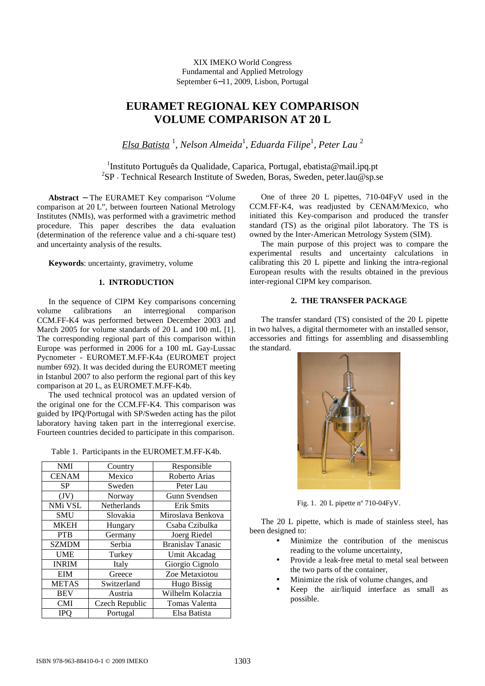XIX IMEKO World Congress Fundamental and Applied Metrology September 6−11, 2009, Lisbon, Portugal

# **EURAMET REGIONAL KEY COMPARISON VOLUME COMPARISON AT 20 L**

*Elsa Batista* <sup>1</sup> , *Nelson Almeida*<sup>1</sup> , *Eduarda Filipe*<sup>1</sup> *, Peter Lau* <sup>2</sup>

<sup>1</sup>Instituto Português da Qualidade, Caparica, Portugal, ebatista@mail.ipq.pt <sup>2</sup>SP - Technical Research Institute of Sweden, Boras, Sweden, peter.lau@sp.se

**Abstract** − The EURAMET Key comparison "Volume comparison at 20 L", between fourteen National Metrology Institutes (NMIs), was performed with a gravimetric method procedure. This paper describes the data evaluation (determination of the reference value and a chi-square test) and uncertainty analysis of the results.

**Keywords**: uncertainty, gravimetry, volume

# **1. INTRODUCTION**

In the sequence of CIPM Key comparisons concerning volume calibrations an interregional comparison CCM.FF-K4 was performed between December 2003 and March 2005 for volume standards of 20 L and 100 mL [1]. The corresponding regional part of this comparison within Europe was performed in 2006 for a 100 mL Gay-Lussac Pycnometer - EUROMET.M.FF-K4a (EUROMET project number 692). It was decided during the EUROMET meeting in Istanbul 2007 to also perform the regional part of this key comparison at 20 L, as EUROMET.M.FF-K4b.

The used technical protocol was an updated version of the original one for the CCM.FF-K4. This comparison was guided by IPQ/Portugal with SP/Sweden acting has the pilot laboratory having taken part in the interregional exercise. Fourteen countries decided to participate in this comparison.

| <b>NMI</b>   | Country            | Responsible              |
|--------------|--------------------|--------------------------|
| <b>CENAM</b> | Mexico             | Roberto Arias            |
| <b>SP</b>    | Sweden             | Peter Lau                |
| (JV)         | Norway             | Gunn Svendsen            |
| NMi VSL      | <b>Netherlands</b> | <b>Erik Smits</b>        |
| <b>SMU</b>   | Slovakia           | Miroslava Benkova        |
| <b>MKEH</b>  | Hungary            | Csaba Czibulka           |
| <b>PTB</b>   | Germany            | Joerg Riedel             |
| <b>SZMDM</b> | Serbia             | <b>Branislav Tanasic</b> |
| <b>UME</b>   | Turkey             | Umit Akcadag             |
| <b>INRIM</b> | Italy              | Giorgio Cignolo          |
| EIM          | Greece             | Zoe Metaxiotou           |
| <b>METAS</b> | Switzerland        | Hugo Bissig              |
| <b>BEV</b>   | Austria            | Wilhelm Kolaczia         |
| <b>CMI</b>   | Czech Republic     | Tomas Valenta            |
| IPO          | Portugal           | Elsa Batista             |

One of three 20 L pipettes, 710-04FyV used in the CCM.FF-K4, was readjusted by CENAM/Mexico, who initiated this Key-comparison and produced the transfer standard (TS) as the original pilot laboratory. The TS is owned by the Inter-American Metrology System (SIM).

The main purpose of this project was to compare the experimental results and uncertainty calculations in calibrating this 20 L pipette and linking the intra-regional European results with the results obtained in the previous inter-regional CIPM key comparison.

## **2. THE TRANSFER PACKAGE**

The transfer standard (TS) consisted of the 20 L pipette in two halves, a digital thermometer with an installed sensor, accessories and fittings for assembling and disassembling the standard.



Fig. 1. 20 L pipette nº 710-04FyV.

The 20 L pipette, which is made of stainless steel, has been designed to:

- Minimize the contribution of the meniscus reading to the volume uncertainty,
- Provide a leak-free metal to metal seal between the two parts of the container,
- Minimize the risk of volume changes, and
- Keep the air/liquid interface as small as possible.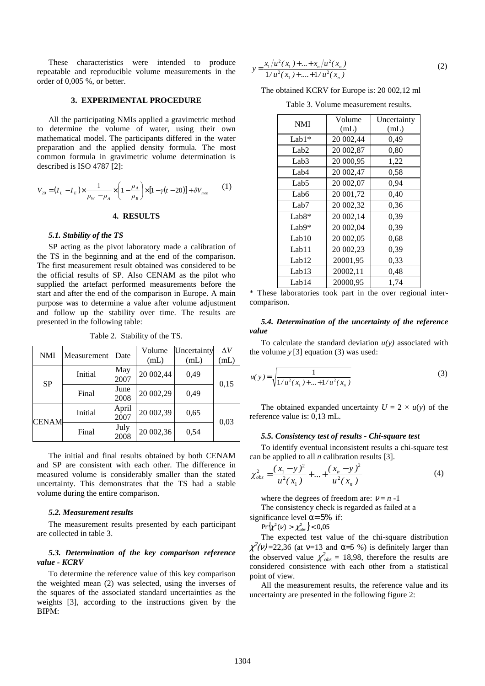These characteristics were intended to produce repeatable and reproducible volume measurements in the order of 0,005 %, or better.

#### **3. EXPERIMENTAL PROCEDURE**

All the participating NMIs applied a gravimetric method to determine the volume of water, using their own mathematical model. The participants differed in the water preparation and the applied density formula. The most common formula in gravimetric volume determination is described is ISO 4787 [2]:

$$
V_{20} = (I_L - I_E) \times \frac{1}{\rho_W - \rho_A} \times \left(1 - \frac{\rho_A}{\rho_B}\right) \times [1 - \gamma(t - 20)] + \delta V_{\text{men}} \tag{1}
$$

#### **4. RESULTS**

#### *5.1. Stability of the TS*

SP acting as the pivot laboratory made a calibration of the TS in the beginning and at the end of the comparison. The first measurement result obtained was considered to be the official results of SP. Also CENAM as the pilot who supplied the artefact performed measurements before the start and after the end of the comparison in Europe. A main purpose was to determine a value after volume adjustment and follow up the stability over time. The results are presented in the following table:

| <b>NMI</b>   | Measurement | Date          | Volume    | Uncertainty | $\Delta V$ |
|--------------|-------------|---------------|-----------|-------------|------------|
|              |             |               | (mL)      | (mL)        | (mL)       |
| <b>SP</b>    | Initial     | May<br>2007   | 20 002,44 | 0,49        | 0,15       |
|              | Final       | June<br>2008  | 20 002,29 | 0,49        |            |
| <b>CENAM</b> | Initial     | April<br>2007 | 20 002,39 | 0,65        | 0,03       |
|              | Final       | July<br>2008  | 20 002,36 | 0,54        |            |

Table 2. Stability of the TS.

The initial and final results obtained by both CENAM and SP are consistent with each other. The difference in measured volume is considerably smaller than the stated uncertainty. This demonstrates that the TS had a stable volume during the entire comparison.

#### *5.2. Measurement results*

The measurement results presented by each participant are collected in table 3.

### *5.3. Determination of the key comparison reference value - KCRV*

To determine the reference value of this key comparison the weighted mean (2) was selected, using the inverses of the squares of the associated standard uncertainties as the weights [3], according to the instructions given by the BIPM:

$$
y = \frac{x_1/u^2(x_1) + ... + x_n/u^2(x_n)}{1/u^2(x_1) + ... + 1/u^2(x_n)}
$$
(2)

The obtained KCRV for Europe is: 20 002,12 ml

Table 3. Volume measurement results.

| <b>NMI</b>       | Volume    | Uncertainty |  |
|------------------|-----------|-------------|--|
|                  | (mL)      | (mL)        |  |
| $Lab1*$          | 20 002,44 | 0,49        |  |
| Lab <sub>2</sub> | 20 002,87 | 0,80        |  |
| Lab <sub>3</sub> | 20 000,95 | 1,22        |  |
| Lab <sub>4</sub> | 20 002,47 | 0,58        |  |
| Lab <sub>5</sub> | 20 002,07 | 0,94        |  |
| Lab <sub>6</sub> | 20 001,72 | 0,40        |  |
| Lab <sub>7</sub> | 20 002,32 | 0.36        |  |
| $Lab8*$          | 20 002,14 | 0,39        |  |
| Lab9*            | 20 002,04 | 0.39        |  |
| Lab10            | 20 002,05 | 0.68        |  |
| Lab11            | 20 002,23 | 0,39        |  |
| Lab12            | 20001,95  | 0.33        |  |
| Lab13            | 20002,11  | 0.48        |  |
| Lab14            | 20000,95  | 1,74        |  |

\* These laboratories took part in the over regional intercomparison.

### *5.4. Determination of the uncertainty of the reference value*

To calculate the standard deviation  $u(y)$  associated with the volume  $y$  [3] equation (3) was used:

$$
u(y) = \sqrt{\frac{1}{1/u^2(x_1) + ... + 1/u^2(x_n)}}
$$
 (3)

The obtained expanded uncertainty  $U = 2 \times u(y)$  of the reference value is: 0,13 mL.

#### *5.5. Consistency test of results - Chi-square test*

To identify eventual inconsistent results a chi-square test can be applied to all *n* calibration results [3].

$$
\chi_{obs}^2 = \frac{(x_1 - y)^2}{u^2(x_1)} + \dots + \frac{(x_n - y)^2}{u^2(x_n)}
$$
(4)

where the degrees of freedom are:  $v = n - 1$ 

The consistency check is regarded as failed at a

significance level  $\alpha = 5\%$  if:

$$
Pr\{\chi^2(\nu) > \chi^2_{obs}\}\
$$

The expected test value of the chi-square distribution  $\chi^2$ (v)=22,36 (at v=13 and α=5 %) is definitely larger than the observed value  $\chi^2_{obs} = 18,98$ , therefore the results are considered consistence with each other from a statistical point of view.

All the measurement results, the reference value and its uncertainty are presented in the following figure 2: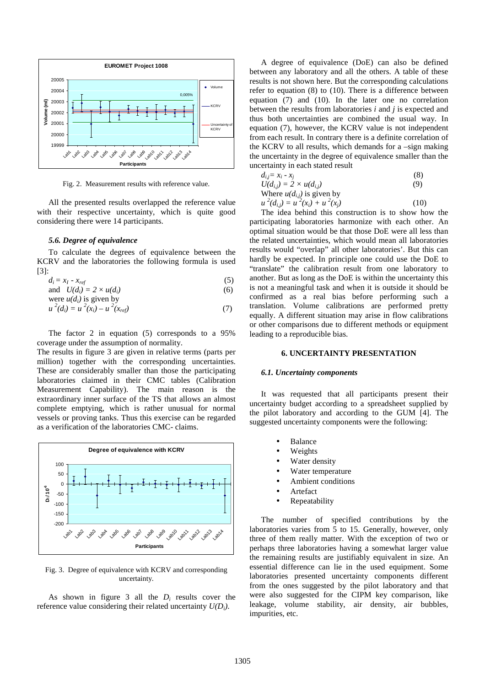

Fig. 2. Measurement results with reference value.

All the presented results overlapped the reference value with their respective uncertainty, which is quite good considering there were 14 participants.

#### *5.6. Degree of equivalence*

To calculate the degrees of equivalence between the KCRV and the laboratories the following formula is used [3]:

$$
d_i = x_I - x_{ref} \tag{5}
$$

and 
$$
U(d_i) = 2 \times u(d_i)
$$
 (6)  
were  $u(d_i)$  is given by

$$
u^{2}(d_{i}) = u^{2}(x_{i}) - u^{2}(x_{ref})
$$
\n(7)

The factor 2 in equation (5) corresponds to a 95% coverage under the assumption of normality.

The results in figure 3 are given in relative terms (parts per million) together with the corresponding uncertainties. These are considerably smaller than those the participating laboratories claimed in their CMC tables (Calibration Measurement Capability). The main reason is the extraordinary inner surface of the TS that allows an almost complete emptying, which is rather unusual for normal vessels or proving tanks. Thus this exercise can be regarded as a verification of the laboratories CMC- claims.



Fig. 3. Degree of equivalence with KCRV and corresponding uncertainty.

As shown in figure 3 all the  $D_i$  results cover the reference value considering their related uncertainty *U(Di)*.

A degree of equivalence (DoE) can also be defined between any laboratory and all the others. A table of these results is not shown here. But the corresponding calculations refer to equation (8) to (10). There is a difference between equation (7) and (10). In the later one no correlation between the results from laboratories *i* and *j* is expected and thus both uncertainties are combined the usual way. In equation (7), however, the KCRV value is not independent from each result. In contrary there is a definite correlation of the KCRV to all results, which demands for a –sign making the uncertainty in the degree of equivalence smaller than the uncertainty in each stated result

$$
d_{i,j} = x_i - x_j
$$
\n
$$
U(d_{i,j}) = 2 \times u(d_{i,j})
$$
\nWhere  $u(d_{i,j})$  is given by\n
$$
u^2(d_{i,j}) = u^2(x_i) + u^2(x_j)
$$
\n(10)

The idea behind this construction is to show how the participating laboratories harmonize with each other. An optimal situation would be that those DoE were all less than the related uncertainties, which would mean all laboratories results would "overlap" all other laboratories'. But this can hardly be expected. In principle one could use the DoE to "translate" the calibration result from one laboratory to another. But as long as the DoE is within the uncertainty this is not a meaningful task and when it is outside it should be confirmed as a real bias before performing such a translation. Volume calibrations are performed pretty equally. A different situation may arise in flow calibrations or other comparisons due to different methods or equipment leading to a reproducible bias.

#### **6. UNCERTAINTY PRESENTATION**

#### *6.1. Uncertainty components*

It was requested that all participants present their uncertainty budget according to a spreadsheet supplied by the pilot laboratory and according to the GUM [4]. The suggested uncertainty components were the following:

- **Balance**
- Weights
- Water density
- Water temperature
- Ambient conditions
- **Artefact**
- **Repeatability**

The number of specified contributions by the laboratories varies from 5 to 15. Generally, however, only three of them really matter. With the exception of two or perhaps three laboratories having a somewhat larger value the remaining results are justifiably equivalent in size. An essential difference can lie in the used equipment. Some laboratories presented uncertainty components different from the ones suggested by the pilot laboratory and that were also suggested for the CIPM key comparison, like leakage, volume stability, air density, air bubbles, impurities, etc.